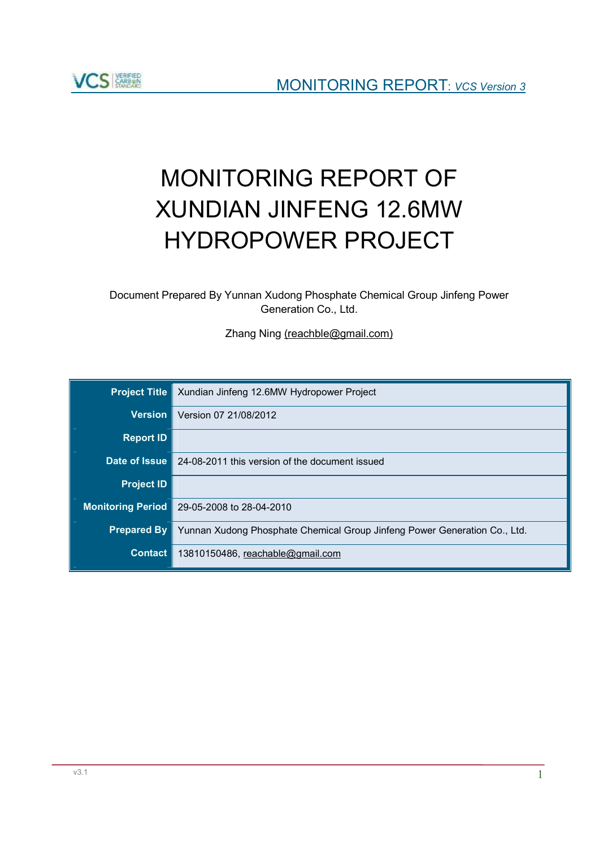

# MONITORING REPORT OF XUNDIAN JINFENG 12.6MW HYDROPOWER PROJECT

Document Prepared By Yunnan Xudong Phosphate Chemical Group Jinfeng Power Generation Co., Ltd.

Zhang Ning [\(reachble@gmail.com\)](mailto:(reachble@gmail.com))

| <b>Project Title</b>     | Xundian Jinfeng 12.6MW Hydropower Project                                 |
|--------------------------|---------------------------------------------------------------------------|
| <b>Version</b>           | Version 07 21/08/2012                                                     |
| <b>Report ID</b>         |                                                                           |
| Date of Issue            | 24-08-2011 this version of the document issued                            |
| <b>Project ID</b>        |                                                                           |
| <b>Monitoring Period</b> | 29-05-2008 to 28-04-2010                                                  |
| <b>Prepared By</b>       | Yunnan Xudong Phosphate Chemical Group Jinfeng Power Generation Co., Ltd. |
| <b>Contact</b>           | 13810150486, reachable@gmail.com                                          |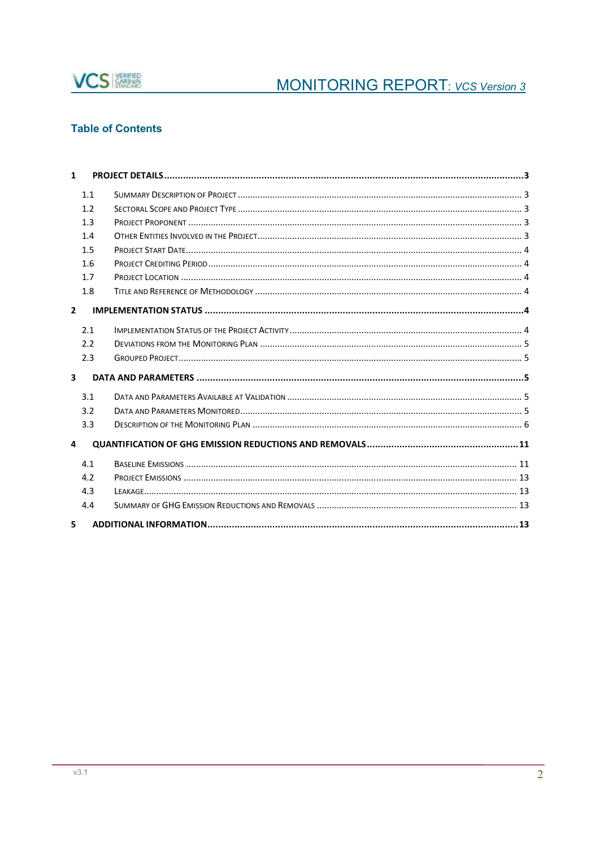

# **Table of Contents**

| $\mathbf{1}$            |     |  |
|-------------------------|-----|--|
|                         | 1.1 |  |
|                         | 1.2 |  |
|                         | 1.3 |  |
|                         | 1.4 |  |
|                         | 1.5 |  |
|                         | 1.6 |  |
|                         | 1.7 |  |
|                         | 1.8 |  |
| $\overline{2}$          |     |  |
|                         | 2.1 |  |
|                         | 2.2 |  |
|                         | 2.3 |  |
| $\overline{\mathbf{3}}$ |     |  |
|                         | 3.1 |  |
|                         | 3.2 |  |
|                         | 3.3 |  |
| 4                       |     |  |
|                         | 4.1 |  |
|                         | 4.2 |  |
|                         | 4.3 |  |
|                         | 4.4 |  |
| 5                       |     |  |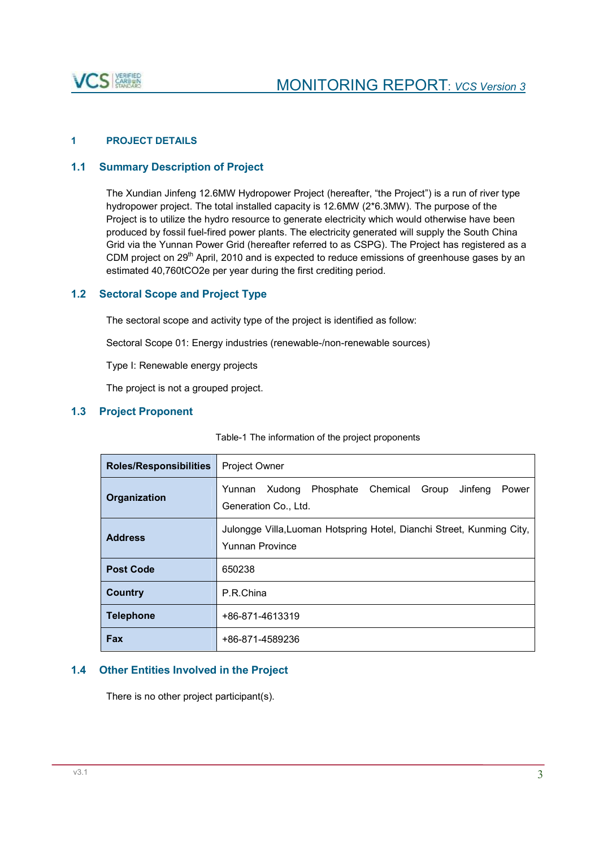

# **1 PROJECT DETAILS**

# **1.1 Summary Description of Project**

The Xundian Jinfeng 12.6MW Hydropower Project (hereafter, "the Project") is a run of river type hydropower project. The total installed capacity is 12.6MW (2\*6.3MW). The purpose of the Project is to utilize the hydro resource to generate electricity which would otherwise have been produced by fossil fuel-fired power plants. The electricity generated will supply the South China Grid via the Yunnan Power Grid (hereafter referred to as CSPG). The Project has registered as a CDM project on 29<sup>th</sup> April, 2010 and is expected to reduce emissions of greenhouse gases by an estimated 40,760tCO2e per year during the first crediting period.

# **1.2 Sectoral Scope and Project Type**

The sectoral scope and activity type of the project is identified as follow:

Sectoral Scope 01: Energy industries (renewable-/non-renewable sources)

Type I: Renewable energy projects

The project is not a grouped project.

# **1.3 Project Proponent**

| <b>Roles/Responsibilities</b> | Project Owner                                                                                   |  |  |
|-------------------------------|-------------------------------------------------------------------------------------------------|--|--|
| Organization                  | Phosphate Chemical Group<br>Yunnan<br>Xudong<br>Jinfeng<br>Power<br>Generation Co., Ltd.        |  |  |
| <b>Address</b>                | Julongge Villa, Luoman Hotspring Hotel, Dianchi Street, Kunming City,<br><b>Yunnan Province</b> |  |  |
| <b>Post Code</b>              | 650238                                                                                          |  |  |
| <b>Country</b>                | P.R.China                                                                                       |  |  |
| <b>Telephone</b>              | +86-871-4613319                                                                                 |  |  |
| <b>Fax</b>                    | +86-871-4589236                                                                                 |  |  |

Table-1 The information of the project proponents

# **1.4 Other Entities Involved in the Project**

There is no other project participant(s).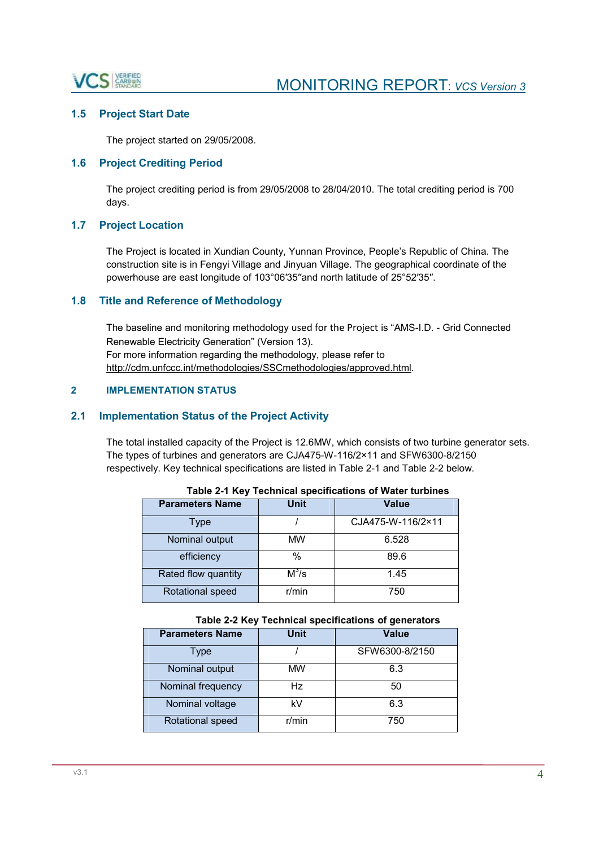

# **1.5 Project Start Date**

The project started on 29/05/2008.

# **1.6 Project Crediting Period**

The project crediting period is from 29/05/2008 to 28/04/2010. The total crediting period is 700 days.

# **1.7 Project Location**

The Project is located in Xundian County, Yunnan Province, People's Republic of China. The construction site is in Fengyi Village and Jinyuan Village. The geographical coordinate of the powerhouse are east longitude of 103°06′35′′and north latitude of 25°52′35′′.

#### **1.8 Title and Reference of Methodology**

The baseline and monitoring methodology used for the Project is "AMS-I.D. - Grid Connected Renewable Electricity Generation" (Version 13). For more information regarding the methodology, please refer to [http://cdm.unfccc.int/methodologies/SSCmethodologies/approved.html.](http://cdm.unfccc.int/methodologies/SSCmethodologies/approved.html)

#### **2 IMPLEMENTATION STATUS**

#### **2.1 Implementation Status of the Project Activity**

The total installed capacity of the Project is 12.6MW, which consists of two turbine generator sets. The types of turbines and generators are CJA475-W-116/2×11 and SFW6300-8/2150 respectively. Key technical specifications are listed in Table 2-1 and Table 2-2 below.

| $1.4919 = 1.1197.19911111941.999911194119119.91.1141191.11199$ |             |                   |
|----------------------------------------------------------------|-------------|-------------------|
| <b>Parameters Name</b>                                         | <b>Unit</b> | <b>Value</b>      |
| Type                                                           |             | CJA475-W-116/2×11 |
| Nominal output                                                 | MW          | 6.528             |
| efficiency                                                     | %           | 89.6              |
| Rated flow quantity                                            | $M^3/s$     | 1.45              |
| Rotational speed                                               | r/min       | 750               |

|  |  |  | Table 2-1 Key Technical specifications of Water turbines |  |
|--|--|--|----------------------------------------------------------|--|
|--|--|--|----------------------------------------------------------|--|

#### **Table 2-2 Key Technical specifications of generators**

| <b>Parameters Name</b> | Unit  | <b>Value</b>   |
|------------------------|-------|----------------|
| Type                   |       | SFW6300-8/2150 |
| Nominal output         | MW    | 6.3            |
| Nominal frequency      | Hz    | 50             |
| Nominal voltage        | k٧    | 6.3            |
| Rotational speed       | r/min | 750            |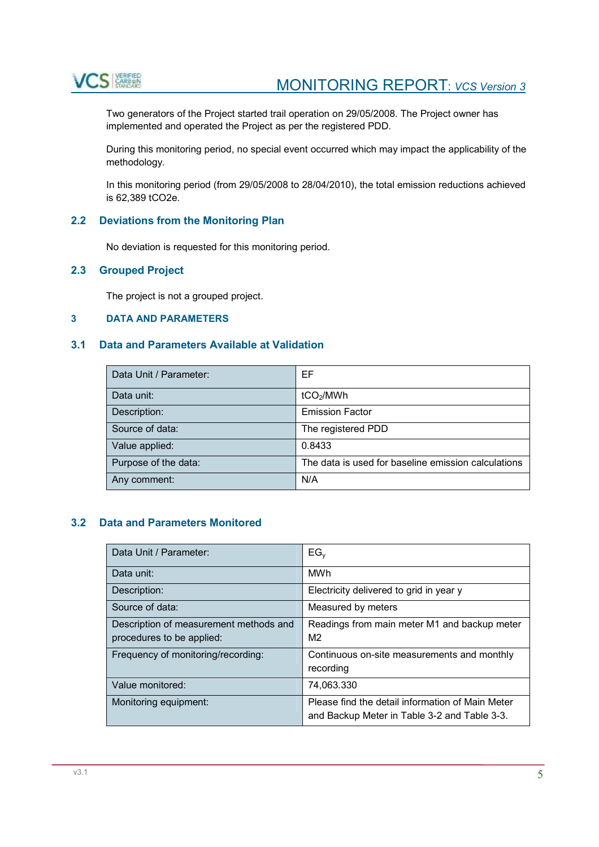

Two generators of the Project started trail operation on 29/05/2008. The Project owner has implemented and operated the Project as per the registered PDD.

During this monitoring period, no special event occurred which may impact the applicability of the methodology.

In this monitoring period (from 29/05/2008 to 28/04/2010), the total emission reductions achieved is 62,389 tCO2e.

# **2.2 Deviations from the Monitoring Plan**

No deviation is requested for this monitoring period.

# **2.3 Grouped Project**

The project is not a grouped project.

# **3 DATA AND PARAMETERS**

# **3.1 Data and Parameters Available at Validation**

| Data Unit / Parameter: | EF                                                  |
|------------------------|-----------------------------------------------------|
| Data unit:             | tCO <sub>2</sub> /MWh                               |
| Description:           | <b>Emission Factor</b>                              |
| Source of data:        | The registered PDD                                  |
| Value applied:         | 0.8433                                              |
| Purpose of the data:   | The data is used for baseline emission calculations |
| Any comment:           | N/A                                                 |

# **3.2 Data and Parameters Monitored**

| Data Unit / Parameter:                                              | $EG_v$                                                                                           |
|---------------------------------------------------------------------|--------------------------------------------------------------------------------------------------|
| Data unit:                                                          | <b>MWh</b>                                                                                       |
| Description:                                                        | Electricity delivered to grid in year y                                                          |
| Source of data:                                                     | Measured by meters                                                                               |
| Description of measurement methods and<br>procedures to be applied: | Readings from main meter M1 and backup meter<br>M <sub>2</sub>                                   |
| Frequency of monitoring/recording:                                  | Continuous on-site measurements and monthly<br>recording                                         |
| Value monitored:                                                    | 74,063.330                                                                                       |
| Monitoring equipment:                                               | Please find the detail information of Main Meter<br>and Backup Meter in Table 3-2 and Table 3-3. |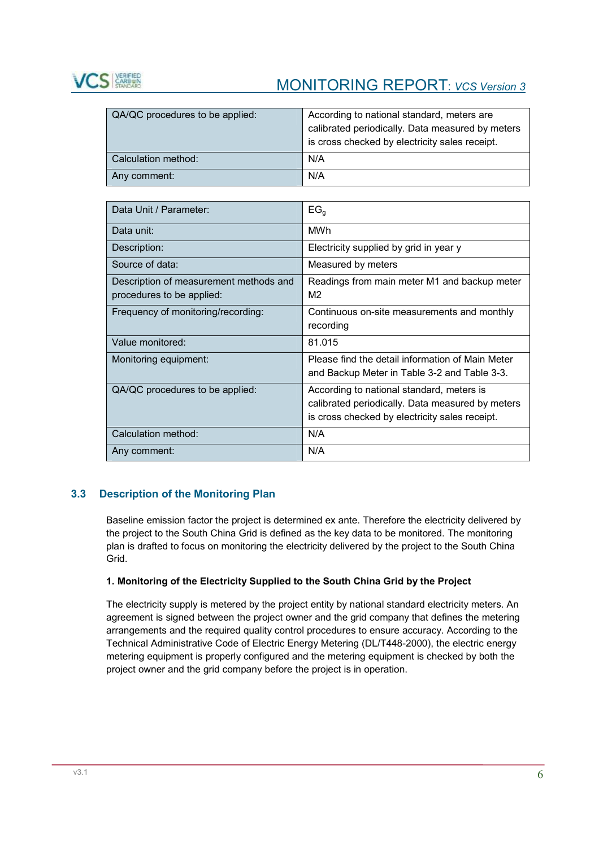

| QA/QC procedures to be applied: | According to national standard, meters are<br>calibrated periodically. Data measured by meters<br>is cross checked by electricity sales receipt. |
|---------------------------------|--------------------------------------------------------------------------------------------------------------------------------------------------|
| Calculation method:             | N/A                                                                                                                                              |
| Any comment:                    | N/A                                                                                                                                              |

| Data Unit / Parameter:                                              | EG <sub>a</sub>                                                                                                                                 |
|---------------------------------------------------------------------|-------------------------------------------------------------------------------------------------------------------------------------------------|
| Data unit:                                                          | MWh                                                                                                                                             |
| Description:                                                        | Electricity supplied by grid in year y                                                                                                          |
| Source of data:                                                     | Measured by meters                                                                                                                              |
| Description of measurement methods and<br>procedures to be applied: | Readings from main meter M1 and backup meter<br>M <sub>2</sub>                                                                                  |
| Frequency of monitoring/recording:                                  | Continuous on-site measurements and monthly<br>recording                                                                                        |
| Value monitored:                                                    | 81.015                                                                                                                                          |
| Monitoring equipment:                                               | Please find the detail information of Main Meter<br>and Backup Meter in Table 3-2 and Table 3-3.                                                |
| QA/QC procedures to be applied:                                     | According to national standard, meters is<br>calibrated periodically. Data measured by meters<br>is cross checked by electricity sales receipt. |
| Calculation method:                                                 | N/A                                                                                                                                             |
| Any comment:                                                        | N/A                                                                                                                                             |

# **3.3 Description of the Monitoring Plan**

Baseline emission factor the project is determined ex ante. Therefore the electricity delivered by the project to the South China Grid is defined as the key data to be monitored. The monitoring plan is drafted to focus on monitoring the electricity delivered by the project to the South China Grid.

#### **1. Monitoring of the Electricity Supplied to the South China Grid by the Project**

The electricity supply is metered by the project entity by national standard electricity meters. An agreement is signed between the project owner and the grid company that defines the metering arrangements and the required quality control procedures to ensure accuracy. According to the Technical Administrative Code of Electric Energy Metering (DL/T448-2000), the electric energy metering equipment is properly configured and the metering equipment is checked by both the project owner and the grid company before the project is in operation.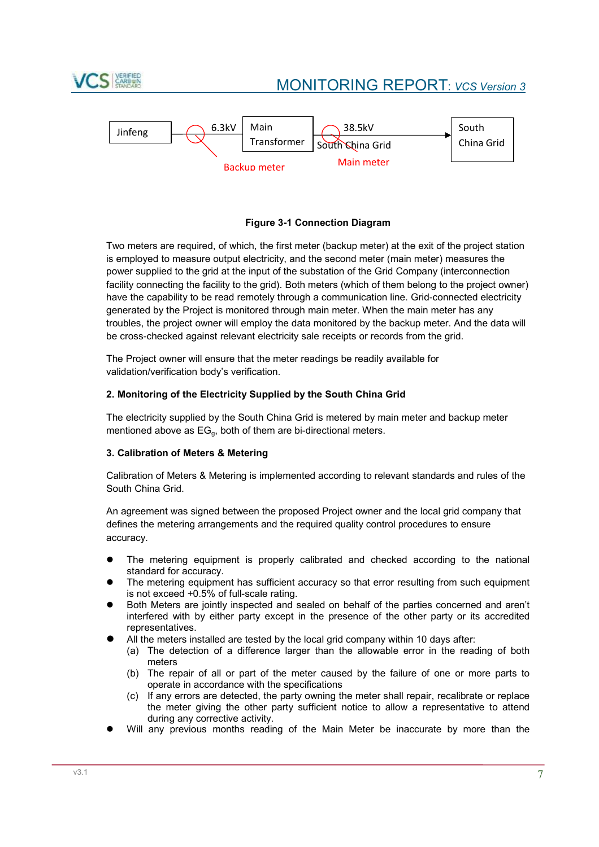



#### **Figure 3-1 Connection Diagram**

Two meters are required, of which, the first meter (backup meter) at the exit of the project station is employed to measure output electricity, and the second meter (main meter) measures the power supplied to the grid at the input of the substation of the Grid Company (interconnection facility connecting the facility to the grid). Both meters (which of them belong to the project owner) have the capability to be read remotely through a communication line. Grid-connected electricity generated by the Project is monitored through main meter. When the main meter has any troubles, the project owner will employ the data monitored by the backup meter. And the data will be cross-checked against relevant electricity sale receipts or records from the grid.

The Project owner will ensure that the meter readings be readily available for validation/verification body's verification.

#### **2. Monitoring of the Electricity Supplied by the South China Grid**

The electricity supplied by the South China Grid is metered by main meter and backup meter mentioned above as EGg, both of them are bi-directional meters.

#### **3. Calibration of Meters & Metering**

Calibration of Meters & Metering is implemented according to relevant standards and rules of the South China Grid.

An agreement was signed between the proposed Project owner and the local grid company that defines the metering arrangements and the required quality control procedures to ensure accuracy.

- The metering equipment is properly calibrated and checked according to the national standard for accuracy.
- The metering equipment has sufficient accuracy so that error resulting from such equipment is not exceed +0.5% of full-scale rating.
- Both Meters are jointly inspected and sealed on behalf of the parties concerned and aren't interfered with by either party except in the presence of the other party or its accredited representatives.
- All the meters installed are tested by the local grid company within 10 days after:
	- (a) The detection of a difference larger than the allowable error in the reading of both meters
	- (b) The repair of all or part of the meter caused by the failure of one or more parts to operate in accordance with the specifications
	- (c) If any errors are detected, the party owning the meter shall repair, recalibrate or replace the meter giving the other party sufficient notice to allow a representative to attend during any corrective activity.
- Will any previous months reading of the Main Meter be inaccurate by more than the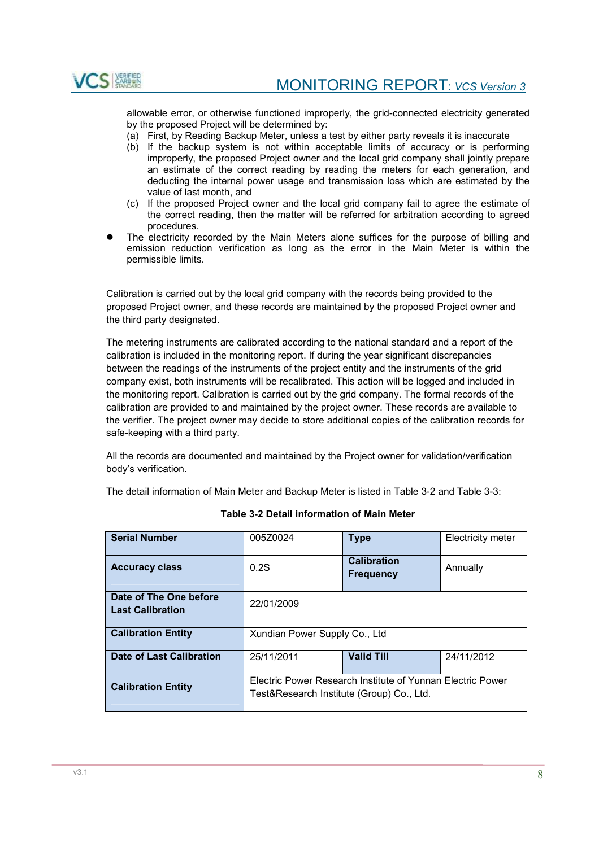

allowable error, or otherwise functioned improperly, the grid-connected electricity generated by the proposed Project will be determined by:

- (a) First, by Reading Backup Meter, unless a test by either party reveals it is inaccurate
- (b) If the backup system is not within acceptable limits of accuracy or is performing improperly, the proposed Project owner and the local grid company shall jointly prepare an estimate of the correct reading by reading the meters for each generation, and deducting the internal power usage and transmission loss which are estimated by the value of last month, and
- (c) If the proposed Project owner and the local grid company fail to agree the estimate of the correct reading, then the matter will be referred for arbitration according to agreed procedures.
- The electricity recorded by the Main Meters alone suffices for the purpose of billing and emission reduction verification as long as the error in the Main Meter is within the permissible limits.

Calibration is carried out by the local grid company with the records being provided to the proposed Project owner, and these records are maintained by the proposed Project owner and the third party designated.

The metering instruments are calibrated according to the national standard and a report of the calibration is included in the monitoring report. If during the year significant discrepancies between the readings of the instruments of the project entity and the instruments of the grid company exist, both instruments will be recalibrated. This action will be logged and included in the monitoring report. Calibration is carried out by the grid company. The formal records of the calibration are provided to and maintained by the project owner. These records are available to the verifier. The project owner may decide to store additional copies of the calibration records for safe-keeping with a third party.

All the records are documented and maintained by the Project owner for validation/verification body's verification.

The detail information of Main Meter and Backup Meter is listed in Table 3-2 and Table 3-3:

| <b>Serial Number</b>                              | 005Z0024                                                                                                | <b>Type</b>                            | <b>Electricity meter</b> |
|---------------------------------------------------|---------------------------------------------------------------------------------------------------------|----------------------------------------|--------------------------|
| <b>Accuracy class</b>                             | 0.2S                                                                                                    | <b>Calibration</b><br><b>Frequency</b> | Annually                 |
| Date of The One before<br><b>Last Calibration</b> | 22/01/2009                                                                                              |                                        |                          |
| <b>Calibration Entity</b>                         | Xundian Power Supply Co., Ltd                                                                           |                                        |                          |
| Date of Last Calibration                          | 25/11/2011                                                                                              | <b>Valid Till</b>                      | 24/11/2012               |
| <b>Calibration Entity</b>                         | Electric Power Research Institute of Yunnan Electric Power<br>Test&Research Institute (Group) Co., Ltd. |                                        |                          |

#### **Table 3-2 Detail information of Main Meter**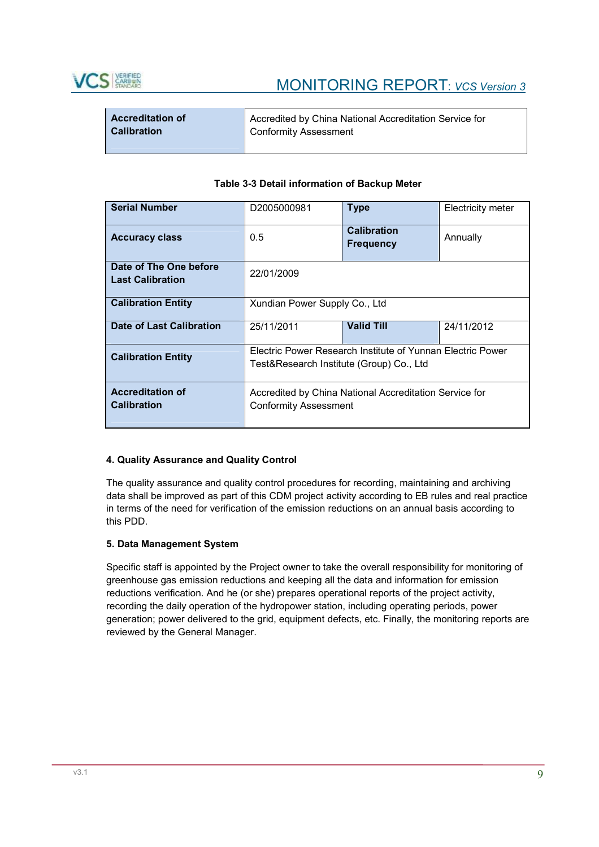

| <b>Accreditation of</b> | Accredited by China National Accreditation Service for |
|-------------------------|--------------------------------------------------------|
| <b>Calibration</b>      | <b>Conformity Assessment</b>                           |
|                         |                                                        |

|  | Table 3-3 Detail information of Backup Meter |  |  |
|--|----------------------------------------------|--|--|
|  |                                              |  |  |

| <b>Serial Number</b>                              | D2005000981                                                                                            | <b>Type</b>                            | <b>Electricity meter</b> |  |  |
|---------------------------------------------------|--------------------------------------------------------------------------------------------------------|----------------------------------------|--------------------------|--|--|
| <b>Accuracy class</b>                             | 0.5                                                                                                    | <b>Calibration</b><br><b>Frequency</b> | Annually                 |  |  |
| Date of The One before<br><b>Last Calibration</b> | 22/01/2009                                                                                             |                                        |                          |  |  |
| <b>Calibration Entity</b>                         | Xundian Power Supply Co., Ltd                                                                          |                                        |                          |  |  |
| Date of Last Calibration                          | 25/11/2011                                                                                             | <b>Valid Till</b>                      | 24/11/2012               |  |  |
| <b>Calibration Entity</b>                         | Electric Power Research Institute of Yunnan Electric Power<br>Test&Research Institute (Group) Co., Ltd |                                        |                          |  |  |
| <b>Accreditation of</b><br><b>Calibration</b>     | Accredited by China National Accreditation Service for<br><b>Conformity Assessment</b>                 |                                        |                          |  |  |

#### **4. Quality Assurance and Quality Control**

The quality assurance and quality control procedures for recording, maintaining and archiving data shall be improved as part of this CDM project activity according to EB rules and real practice in terms of the need for verification of the emission reductions on an annual basis according to this PDD.

#### **5. Data Management System**

Specific staff is appointed by the Project owner to take the overall responsibility for monitoring of greenhouse gas emission reductions and keeping all the data and information for emission reductions verification. And he (or she) prepares operational reports of the project activity, recording the daily operation of the hydropower station, including operating periods, power generation; power delivered to the grid, equipment defects, etc. Finally, the monitoring reports are reviewed by the General Manager.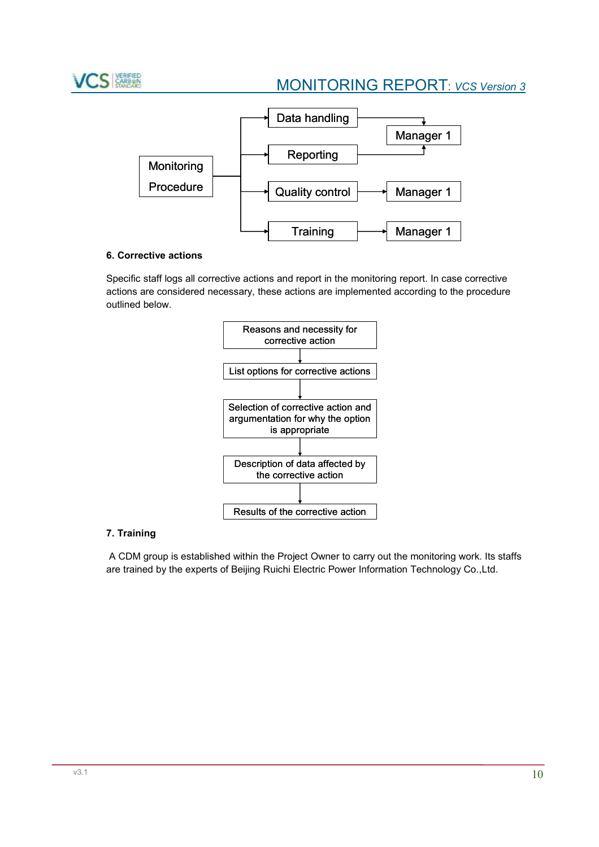



# **6. Corrective actions**

Specific staff logs all corrective actions and report in the monitoring report. In case corrective actions are considered necessary, these actions are implemented according to the procedure outlined below.



# **7. Training**

A CDM group is established within the Project Owner to carry out the monitoring work. Its staffs are trained by the experts of Beijing Ruichi Electric Power Information Technology Co.,Ltd.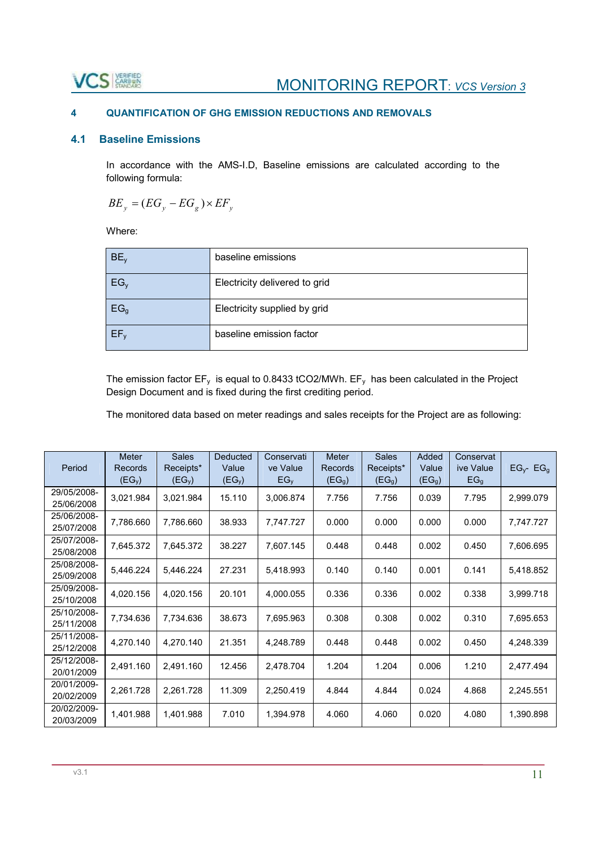# VCS

# **4 QUANTIFICATION OF GHG EMISSION REDUCTIONS AND REMOVALS**

# **4.1 Baseline Emissions**

In accordance with the AMS-I.D, Baseline emissions are calculated according to the following formula:

$$
BE_y = (EG_y - EG_g) \times EF_y
$$

Where:

| BE <sub>v</sub> | baseline emissions            |
|-----------------|-------------------------------|
| $EG_v$          | Electricity delivered to grid |
| EG <sub>g</sub> | Electricity supplied by grid  |
| EF <sub>v</sub> | baseline emission factor      |

The emission factor  $EF_v$  is equal to 0.8433 tCO2/MWh.  $EF_v$  has been calculated in the Project Design Document and is fixed during the first crediting period.

The monitored data based on meter readings and sales receipts for the Project are as following:

|                           | <b>Meter</b>                  | <b>Sales</b>                    | Deducted                    | Conservati                  | <b>Meter</b>                  | <b>Sales</b>                    | Added                       | Conservat                    |                      |
|---------------------------|-------------------------------|---------------------------------|-----------------------------|-----------------------------|-------------------------------|---------------------------------|-----------------------------|------------------------------|----------------------|
| Period                    | Records<br>(EG <sub>y</sub> ) | Receipts*<br>(EG <sub>y</sub> ) | Value<br>(EG <sub>y</sub> ) | ve Value<br>EG <sub>y</sub> | Records<br>(EG <sub>g</sub> ) | Receipts*<br>(EG <sub>g</sub> ) | Value<br>(EG <sub>g</sub> ) | ive Value<br>EG <sub>g</sub> | $EG_{y}$ - E $G_{g}$ |
| 29/05/2008-<br>25/06/2008 | 3,021.984                     | 3,021.984                       | 15.110                      | 3,006.874                   | 7.756                         | 7.756                           | 0.039                       | 7.795                        | 2,999.079            |
| 25/06/2008-<br>25/07/2008 | 7,786.660                     | 7,786.660                       | 38.933                      | 7,747.727                   | 0.000                         | 0.000                           | 0.000                       | 0.000                        | 7,747.727            |
| 25/07/2008-<br>25/08/2008 | 7,645.372                     | 7,645.372                       | 38.227                      | 7,607.145                   | 0.448                         | 0.448                           | 0.002                       | 0.450                        | 7,606.695            |
| 25/08/2008-<br>25/09/2008 | 5,446.224                     | 5,446.224                       | 27.231                      | 5,418.993                   | 0.140                         | 0.140                           | 0.001                       | 0.141                        | 5,418.852            |
| 25/09/2008-<br>25/10/2008 | 4,020.156                     | 4,020.156                       | 20.101                      | 4,000.055                   | 0.336                         | 0.336                           | 0.002                       | 0.338                        | 3,999.718            |
| 25/10/2008-<br>25/11/2008 | 7,734.636                     | 7,734.636                       | 38.673                      | 7,695.963                   | 0.308                         | 0.308                           | 0.002                       | 0.310                        | 7,695.653            |
| 25/11/2008-<br>25/12/2008 | 4,270.140                     | 4,270.140                       | 21.351                      | 4,248.789                   | 0.448                         | 0.448                           | 0.002                       | 0.450                        | 4,248.339            |
| 25/12/2008-<br>20/01/2009 | 2,491.160                     | 2,491.160                       | 12.456                      | 2,478.704                   | 1.204                         | 1.204                           | 0.006                       | 1.210                        | 2,477.494            |
| 20/01/2009-<br>20/02/2009 | 2,261.728                     | 2,261.728                       | 11.309                      | 2,250.419                   | 4.844                         | 4.844                           | 0.024                       | 4.868                        | 2,245.551            |
| 20/02/2009-<br>20/03/2009 | 1,401.988                     | 1,401.988                       | 7.010                       | 1,394.978                   | 4.060                         | 4.060                           | 0.020                       | 4.080                        | 1,390.898            |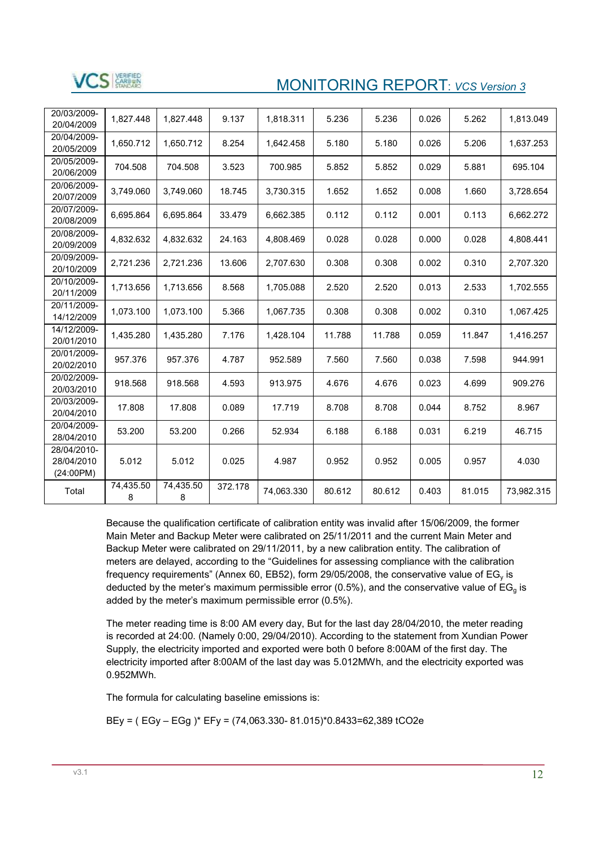

| 20/03/2009-<br>20/04/2009              | 1.827.448      | 1.827.448      | 9.137   | 1,818.311  | 5.236  | 5.236  | 0.026 | 5.262  | 1,813.049  |
|----------------------------------------|----------------|----------------|---------|------------|--------|--------|-------|--------|------------|
| 20/04/2009-<br>20/05/2009              | 1,650.712      | 1,650.712      | 8.254   | 1,642.458  | 5.180  | 5.180  | 0.026 | 5.206  | 1,637.253  |
| 20/05/2009-<br>20/06/2009              | 704.508        | 704.508        | 3.523   | 700.985    | 5.852  | 5.852  | 0.029 | 5.881  | 695.104    |
| 20/06/2009-<br>20/07/2009              | 3,749.060      | 3,749.060      | 18.745  | 3,730.315  | 1.652  | 1.652  | 0.008 | 1.660  | 3,728.654  |
| 20/07/2009-<br>20/08/2009              | 6,695.864      | 6,695.864      | 33.479  | 6,662.385  | 0.112  | 0.112  | 0.001 | 0.113  | 6,662.272  |
| 20/08/2009-<br>20/09/2009              | 4,832.632      | 4,832.632      | 24.163  | 4.808.469  | 0.028  | 0.028  | 0.000 | 0.028  | 4.808.441  |
| 20/09/2009-<br>20/10/2009              | 2,721.236      | 2,721.236      | 13.606  | 2,707.630  | 0.308  | 0.308  | 0.002 | 0.310  | 2,707.320  |
| 20/10/2009-<br>20/11/2009              | 1,713.656      | 1,713.656      | 8.568   | 1,705.088  | 2.520  | 2.520  | 0.013 | 2.533  | 1,702.555  |
| 20/11/2009-<br>14/12/2009              | 1,073.100      | 1,073.100      | 5.366   | 1,067.735  | 0.308  | 0.308  | 0.002 | 0.310  | 1,067.425  |
| 14/12/2009-<br>20/01/2010              | 1,435.280      | 1,435.280      | 7.176   | 1,428.104  | 11.788 | 11.788 | 0.059 | 11.847 | 1,416.257  |
| 20/01/2009-<br>20/02/2010              | 957.376        | 957.376        | 4.787   | 952.589    | 7.560  | 7.560  | 0.038 | 7.598  | 944.991    |
| 20/02/2009-<br>20/03/2010              | 918.568        | 918.568        | 4.593   | 913.975    | 4.676  | 4.676  | 0.023 | 4.699  | 909.276    |
| 20/03/2009-<br>20/04/2010              | 17.808         | 17.808         | 0.089   | 17.719     | 8.708  | 8.708  | 0.044 | 8.752  | 8.967      |
| 20/04/2009-<br>28/04/2010              | 53.200         | 53.200         | 0.266   | 52.934     | 6.188  | 6.188  | 0.031 | 6.219  | 46.715     |
| 28/04/2010-<br>28/04/2010<br>(24:00PM) | 5.012          | 5.012          | 0.025   | 4.987      | 0.952  | 0.952  | 0.005 | 0.957  | 4.030      |
| Total                                  | 74,435.50<br>8 | 74,435.50<br>8 | 372.178 | 74,063.330 | 80.612 | 80.612 | 0.403 | 81.015 | 73,982.315 |

Because the qualification certificate of calibration entity was invalid after 15/06/2009, the former Main Meter and Backup Meter were calibrated on 25/11/2011 and the current Main Meter and Backup Meter were calibrated on 29/11/2011, by a new calibration entity. The calibration of meters are delayed, according to the "Guidelines for assessing compliance with the calibration frequency requirements" (Annex 60, EB52), form 29/05/2008, the conservative value of  $EG<sub>v</sub>$  is deducted by the meter's maximum permissible error (0.5%), and the conservative value of  $EG_q$  is added by the meter's maximum permissible error (0.5%).

The meter reading time is 8:00 AM every day, But for the last day 28/04/2010, the meter reading is recorded at 24:00. (Namely 0:00, 29/04/2010). According to the statement from Xundian Power Supply, the electricity imported and exported were both 0 before 8:00AM of the first day. The electricity imported after 8:00AM of the last day was 5.012MWh, and the electricity exported was 0.952MWh.

The formula for calculating baseline emissions is:

BEy = ( EGy – EGg )\* EFy = (74,063.330- 81.015)\*0.8433=62,389 tCO2e